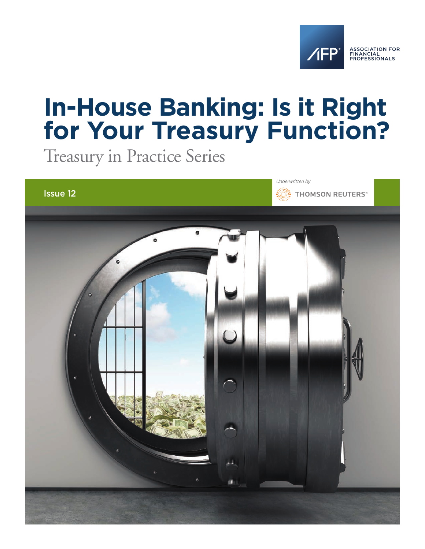

# **In-House Banking: Is it Right for Your Treasury Function?**

Treasury in Practice Series

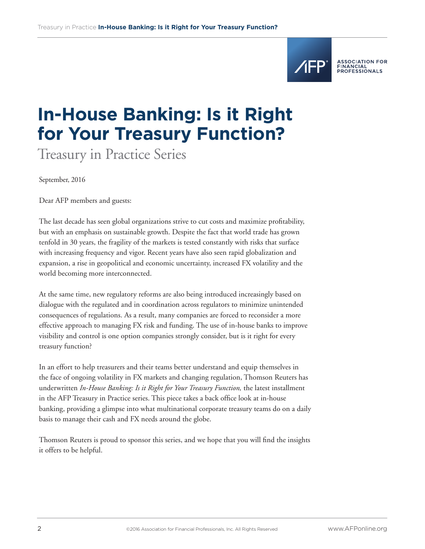

ASSOCIATION FOR<br>FINANCIAL<br>PROFESSIONALS

# **In-House Banking: Is it Right for Your Treasury Function?**

Treasury in Practice Series

September, 2016

Dear AFP members and guests:

The last decade has seen global organizations strive to cut costs and maximize profitability, but with an emphasis on sustainable growth. Despite the fact that world trade has grown tenfold in 30 years, the fragility of the markets is tested constantly with risks that surface with increasing frequency and vigor. Recent years have also seen rapid globalization and expansion, a rise in geopolitical and economic uncertainty, increased FX volatility and the world becoming more interconnected.

At the same time, new regulatory reforms are also being introduced increasingly based on dialogue with the regulated and in coordination across regulators to minimize unintended consequences of regulations. As a result, many companies are forced to reconsider a more effective approach to managing FX risk and funding. The use of in-house banks to improve visibility and control is one option companies strongly consider, but is it right for every treasury function?

In an effort to help treasurers and their teams better understand and equip themselves in the face of ongoing volatility in FX markets and changing regulation, Thomson Reuters has underwritten *In-House Banking: Is it Right for Your Treasury Function,* the latest installment in the AFP Treasury in Practice series. This piece takes a back office look at in-house banking, providing a glimpse into what multinational corporate treasury teams do on a daily basis to manage their cash and FX needs around the globe.

Thomson Reuters is proud to sponsor this series, and we hope that you will find the insights it offers to be helpful.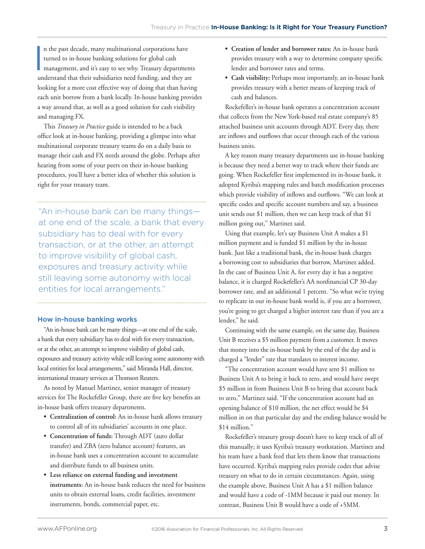I n the past decade, many multinational corporations have turned to in-house banking solutions for global cash management, and it's easy to see why. Treasury departments understand that their subsidiaries need funding, and they are looking for a more cost effective way of doing that than having each unit borrow from a bank locally. In-house banking provides a way around that, as well as a good solution for cash visibility and managing FX.

This *Treasury in Practice* guide is intended to be a back office look at in-house banking, providing a glimpse into what multinational corporate treasury teams do on a daily basis to manage their cash and FX needs around the globe. Perhaps after hearing from some of your peers on their in-house banking procedures, you'll have a better idea of whether this solution is right for your treasury team.

"An in-house bank can be many things at one end of the scale, a bank that every subsidiary has to deal with for every transaction, or at the other, an attempt to improve visibility of global cash, exposures and treasury activity while still leaving some autonomy with local entities for local arrangements."

#### **How in-house banking works**

"An in-house bank can be many things—at one end of the scale, a bank that every subsidiary has to deal with for every transaction, or at the other, an attempt to improve visibility of global cash, exposures and treasury activity while still leaving some autonomy with local entities for local arrangements," said Miranda Hall, director, international treasury services at Thomson Reuters.

As noted by Manuel Martinez, senior manager of treasury services for The Rockefeller Group, there are five key benefits an in-house bank offers treasury departments.

- **• Centralization of control:** An in-house bank allows treasury to control all of its subsidiaries' accounts in one place.
- **• Concentration of funds:** Through ADT (auto dollar transfer) and ZBA (zero balance account) features, an in-house bank uses a concentration account to accumulate and distribute funds to all business units.
- **• Less reliance on external funding and investment instruments:** An in-house bank reduces the need for business units to obtain external loans, credit facilities, investment instruments, bonds, commercial paper, etc.
- **• Creation of lender and borrower rates:** An in-house bank provides treasury with a way to determine company specific lender and borrower rates and terms.
- **• Cash visibility:** Perhaps most importantly, an in-house bank provides treasury with a better means of keeping track of cash and balances.

Rockefeller's in-house bank operates a concentration account that collects from the New York-based real estate company's 85 attached business unit accounts through ADT. Every day, there are inflows and outflows that occur through each of the various business units.

A key reason many treasury departments use in-house banking is because they need a better way to track where their funds are going. When Rockefeller first implemented its in-house bank, it adopted Kyriba's mapping rules and batch modification processes which provide visibility of inflows and outflows. "We can look at specific codes and specific account numbers and say, a business unit sends out \$1 million, then we can keep track of that \$1 million going out," Martinez said.

Using that example, let's say Business Unit A makes a \$1 million payment and is funded \$1 million by the in-house bank. Just like a traditional bank, the in-house bank charges a borrowing cost to subsidiaries that borrow, Martinez added. In the case of Business Unit A, for every day it has a negative balance, it is charged Rockefeller's AA nonfinancial CP 30-day borrower rate, and an additional 1 percent. "So what we're trying to replicate in our in-house bank world is, if you are a borrower, you're going to get charged a higher interest rate than if you are a lender," he said.

Continuing with the same example, on the same day, Business Unit B receives a \$5 million payment from a customer. It moves that money into the in-house bank by the end of the day and is charged a "lender" rate that translates to interest income.

"The concentration account would have sent \$1 million to Business Unit A to bring it back to zero, and would have swept \$5 million in from Business Unit B to bring that account back to zero," Martinez said. "If the concentration account had an opening balance of \$10 million, the net effect would be \$4 million in on that particular day and the ending balance would be \$14 million."

Rockefeller's treasury group doesn't have to keep track of all of this manually; it uses Kyriba's treasury workstation. Martinez and his team have a bank feed that lets them know that transactions have occurred. Kyriba's mapping rules provide codes that advise treasury on what to do in certain circumstances. Again, using the example above, Business Unit A has a \$1 million balance and would have a code of -1MM because it paid out money. In contrast, Business Unit B would have a code of +5MM.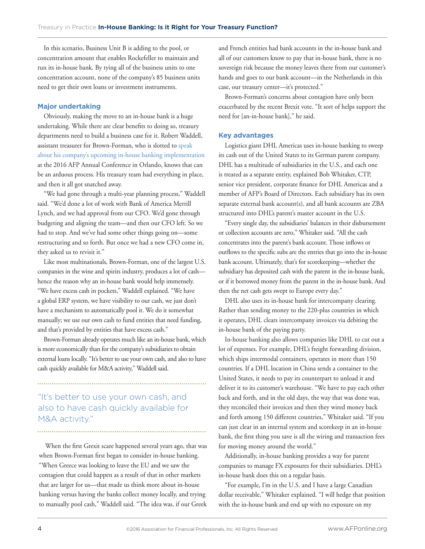In this scenario, Business Unit B is adding to the pool, or concentration amount that enables Rockefeller to maintain and run its in-house bank. By tying all of the business units to one concentration account, none of the company's 85 business units need to get their own loans or investment instruments.

#### **Major undertaking**

Obviously, making the move to an in-house bank is a huge undertaking. While there are clear benefits to doing so, treasury departments need to build a business case for it. Robert Waddell, assistant treasurer for Brown-Forman, who is slotted to speak [about his company's upcoming in-house banking implementation](http://an16.afponline.org/program/sessions/global-treasury-finance) at the 2016 AFP Annual Conference in Orlando, knows that can be an arduous process. His treasury team had everything in place, and then it all got snatched away.

"We had gone through a multi-year planning process," Waddell said. "We'd done a lot of work with Bank of America Merrill Lynch, and we had approval from our CFO. We'd gone through budgeting and aligning the team—and then our CFO left. So we had to stop. And we've had some other things going on—some restructuring and so forth. But once we had a new CFO come in, they asked us to revisit it."

Like most multinationals, Brown-Forman, one of the largest U.S. companies in the wine and spirits industry, produces a lot of cash hence the reason why an in-house bank would help immensely. "We have excess cash in pockets," Waddell explained. "We have a global ERP system, we have visibility to our cash, we just don't have a mechanism to automatically pool it. We do it somewhat manually; we use our own cash to fund entities that need funding, and that's provided by entities that have excess cash."

Brown-Forman already operates much like an in-house bank, which is more economically than for the company's subsidiaries to obtain external loans locally. "It's better to use your own cash, and also to have cash quickly available for M&A activity," Waddell said.

### "It's better to use your own cash, and also to have cash quickly available for M&A activity."

When the first Grexit scare happened several years ago, that was when Brown-Forman first began to consider in-house banking. "When Greece was looking to leave the EU and we saw the contagion that could happen as a result of that in other markets that are larger for us—that made us think more about in-house banking versus having the banks collect money locally, and trying to manually pool cash," Waddell said. "The idea was, if our Greek

and French entities had bank accounts in the in-house bank and all of our customers know to pay that in-house bank, there is no sovereign risk because the money leaves there from our customer's hands and goes to our bank account—in the Netherlands in this case, our treasury center—it's protected."

Brown-Forman's concerns about contagion have only been exacerbated by the recent Brexit vote. "It sort of helps support the need for [an-in-house bank]," he said.

#### **Key advantages**

Logistics giant DHL Americas uses in-house banking to sweep its cash out of the United States to its German parent company. DHL has a multitude of subsidiaries in the U.S., and each one is treated as a separate entity, explained Bob Whitaker, CTP, senior vice president, corporate finance for DHL Americas and a member of AFP's Board of Directors. Each subsidiary has its own separate external bank account(s), and all bank accounts are ZBA structured into DHL's parent's master account in the U.S.

"Every single day, the subsidiaries' balances in their disbursement or collection accounts are zero," Whitaker said. "All the cash concentrates into the parent's bank account. Those inflows or outflows to the specific subs are the entries that go into the in-house bank account. Ultimately, that's for scorekeeping—whether the subsidiary has deposited cash with the parent in the in-house bank, or if it borrowed money from the parent in the in-house bank. And then the net cash gets swept to Europe every day."

DHL also uses its in-house bank for intercompany clearing. Rather than sending money to the 220-plus countries in which it operates, DHL clears intercompany invoices via debiting the in-house bank of the paying party.

In-house banking also allows companies like DHL to cut out a lot of expenses. For example, DHL's freight forwarding division, which ships intermodal containers, operates in more than 150 countries. If a DHL location in China sends a container to the United States, it needs to pay its counterpart to unload it and deliver it to its customer's warehouse. "We have to pay each other back and forth, and in the old days, the way that was done was, they reconciled their invoices and then they wired money back and forth among 150 different countries," Whitaker said. "If you can just clear in an internal system and scorekeep in an in-house bank, the first thing you save is all the wiring and transaction fees for moving money around the world."

Additionally, in-house banking provides a way for parent companies to manage FX exposures for their subsidiaries. DHL's in-house bank does this on a regular basis.

"For example, I'm in the U.S. and I have a large Canadian dollar receivable," Whitaker explained. "I will hedge that position with the in-house bank and end up with no exposure on my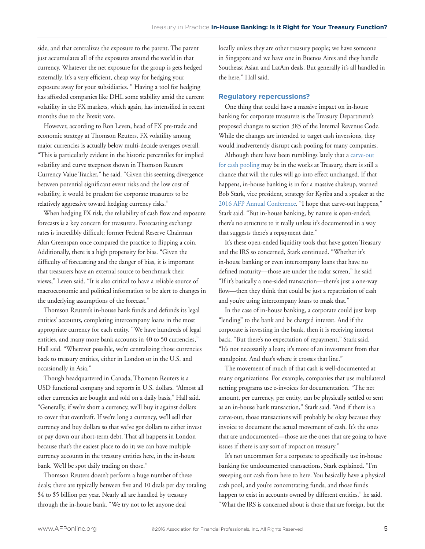side, and that centralizes the exposure to the parent. The parent just accumulates all of the exposures around the world in that currency. Whatever the net exposure for the group is gets hedged externally. It's a very efficient, cheap way for hedging your exposure away for your subsidiaries. " Having a tool for hedging has afforded companies like DHL some stability amid the current volatility in the FX markets, which again, has intensified in recent months due to the Brexit vote.

However, according to Ron Leven, head of FX pre-trade and economic strategy at Thomson Reuters, FX volatility among major currencies is actually below multi-decade averages overall. "This is particularly evident in the historic percentiles for implied volatility and curve steepness shown in Thomson Reuters Currency Value Tracker," he said. "Given this seeming divergence between potential significant event risks and the low cost of volatility, it would be prudent for corporate treasurers to be relatively aggressive toward hedging currency risks."

When hedging FX risk, the reliability of cash flow and exposure forecasts is a key concern for treasurers. Forecasting exchange rates is incredibly difficult; former Federal Reserve Chairman Alan Greenspan once compared the practice to flipping a coin. Additionally, there is a high propensity for bias. "Given the difficulty of forecasting and the danger of bias, it is important that treasurers have an external source to benchmark their views," Leven said. "It is also critical to have a reliable source of macroeconomic and political information to be alert to changes in the underlying assumptions of the forecast."

Thomson Reuters's in-house bank funds and defunds its legal entities' accounts, completing intercompany loans in the most appropriate currency for each entity. "We have hundreds of legal entities, and many more bank accounts in 40 to 50 currencies," Hall said. "Wherever possible, we're centralizing those currencies back to treasury entities, either in London or in the U.S. and occasionally in Asia."

Though headquartered in Canada, Thomson Reuters is a USD functional company and reports in U.S. dollars. "Almost all other currencies are bought and sold on a daily basis," Hall said. "Generally, if we're short a currency, we'll buy it against dollars to cover that overdraft. If we're long a currency, we'll sell that currency and buy dollars so that we've got dollars to either invest or pay down our short-term debt. That all happens in London because that's the easiest place to do it; we can have multiple currency accounts in the treasury entities here, in the in-house bank. We'll be spot daily trading on those."

Thomson Reuters doesn't perform a huge number of these deals; there are typically between five and 10 deals per day totaling \$4 to \$5 billion per year. Nearly all are handled by treasury through the in-house bank. "We try not to let anyone deal

locally unless they are other treasury people; we have someone in Singapore and we have one in Buenos Aires and they handle Southeast Asian and LatAm deals. But generally it's all handled in the here," Hall said.

#### **Regulatory repercussions?**

One thing that could have a massive impact on in-house banking for corporate treasurers is the Treasury Department's proposed changes to section 385 of the Internal Revenue Code. While the changes are intended to target cash inversions, they would inadvertently disrupt cash pooling for many companies.

Although there have been rumblings lately that a carve-out [for cash pooling may be in the works at Treasury, there is still a](http://www.afponline.org/trends-topics/topics/articles/Details/reg-385-is-a-cash-pooling-carve-out-coming-to-the-rescue/)  chance that will the rules will go into effect unchanged. If that happens, in-house banking is in for a massive shakeup, warned Bob Stark, vice president, strategy for Kyriba and a speaker at the [2016 AFP Annual Conference. "I hope that carve-out happens,"](http://an16.afponline.org/home)  Stark said. "But in-house banking, by nature is open-ended; there's no structure to it really unless it's documented in a way that suggests there's a repayment date."

It's these open-ended liquidity tools that have gotten Treasury and the IRS so concerned, Stark continued. "Whether it's in-house banking or even intercompany loans that have no defined maturity—those are under the radar screen," he said "If it's basically a one-sided transaction—there's just a one-way flow—then they think that could be just a repatriation of cash and you're using intercompany loans to mask that."

In the case of in-house banking, a corporate could just keep "lending" to the bank and be charged interest. And if the corporate is investing in the bank, then it is receiving interest back. "But there's no expectation of repayment," Stark said. "It's not necessarily a loan; it's more of an investment from that standpoint. And that's where it crosses that line."

The movement of much of that cash is well-documented at many organizations. For example, companies that use multilateral netting programs use e-invoices for documentation. "The net amount, per currency, per entity, can be physically settled or sent as an in-house bank transaction," Stark said. "And if there is a carve-out, those transactions will probably be okay because they invoice to document the actual movement of cash. It's the ones that are undocumented—those are the ones that are going to have issues if there is any sort of impact on treasury."

It's not uncommon for a corporate to specifically use in-house banking for undocumented transactions, Stark explained. "I'm sweeping out cash from here to here. You basically have a physical cash pool, and you're concentrating funds, and those funds happen to exist in accounts owned by different entities," he said. "What the IRS is concerned about is those that are foreign, but the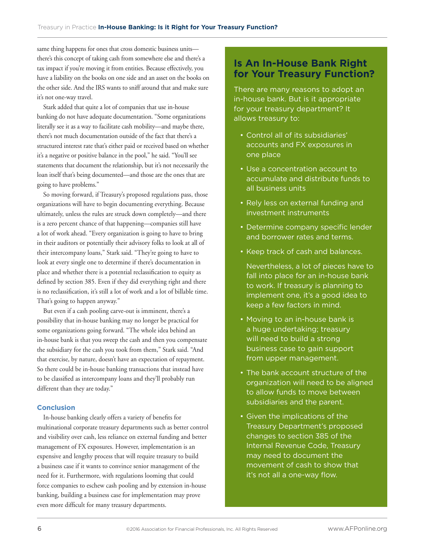same thing happens for ones that cross domestic business units there's this concept of taking cash from somewhere else and there's a tax impact if you're moving it from entities. Because effectively, you have a liability on the books on one side and an asset on the books on the other side. And the IRS wants to sniff around that and make sure it's not one-way travel.

Stark added that quite a lot of companies that use in-house banking do not have adequate documentation. "Some organizations literally see it as a way to facilitate cash mobility—and maybe there, there's not much documentation outside of the fact that there's a structured interest rate that's either paid or received based on whether it's a negative or positive balance in the pool," he said. "You'll see statements that document the relationship, but it's not necessarily the loan itself that's being documented—and those are the ones that are going to have problems."

So moving forward, if Treasury's proposed regulations pass, those organizations will have to begin documenting everything. Because ultimately, unless the rules are struck down completely—and there is a zero percent chance of that happening—companies still have a lot of work ahead. "Every organization is going to have to bring in their auditors or potentially their advisory folks to look at all of their intercompany loans," Stark said. "They're going to have to look at every single one to determine if there's documentation in place and whether there is a potential reclassification to equity as defined by section 385. Even if they did everything right and there is no reclassification, it's still a lot of work and a lot of billable time. That's going to happen anyway."

But even if a cash pooling carve-out is imminent, there's a possibility that in-house banking may no longer be practical for some organizations going forward. "The whole idea behind an in-house bank is that you sweep the cash and then you compensate the subsidiary for the cash you took from them," Stark said. "And that exercise, by nature, doesn't have an expectation of repayment. So there could be in-house banking transactions that instead have to be classified as intercompany loans and they'll probably run different than they are today."

#### **Conclusion**

In-house banking clearly offers a variety of benefits for multinational corporate treasury departments such as better control and visibility over cash, less reliance on external funding and better management of FX exposures. However, implementation is an expensive and lengthy process that will require treasury to build a business case if it wants to convince senior management of the need for it. Furthermore, with regulations looming that could force companies to eschew cash pooling and by extension in-house banking, building a business case for implementation may prove even more difficult for many treasury departments.

### **Is An In-House Bank Right for Your Treasury Function?**

There are many reasons to adopt an in-house bank. But is it appropriate for your treasury department? It allows treasury to:

- Control all of its subsidiaries' accounts and FX exposures in one place
- Use a concentration account to accumulate and distribute funds to all business units
- Rely less on external funding and investment instruments
- Determine company specific lender and borrower rates and terms.
- Keep track of cash and balances.

Nevertheless, a lot of pieces have to fall into place for an in-house bank to work. If treasury is planning to implement one, it's a good idea to keep a few factors in mind.

- Moving to an in-house bank is a huge undertaking; treasury will need to build a strong business case to gain support from upper management.
- The bank account structure of the organization will need to be aligned to allow funds to move between subsidiaries and the parent.
- Given the implications of the Treasury Department's proposed changes to section 385 of the Internal Revenue Code, Treasury may need to document the movement of cash to show that it's not all a one-way flow.